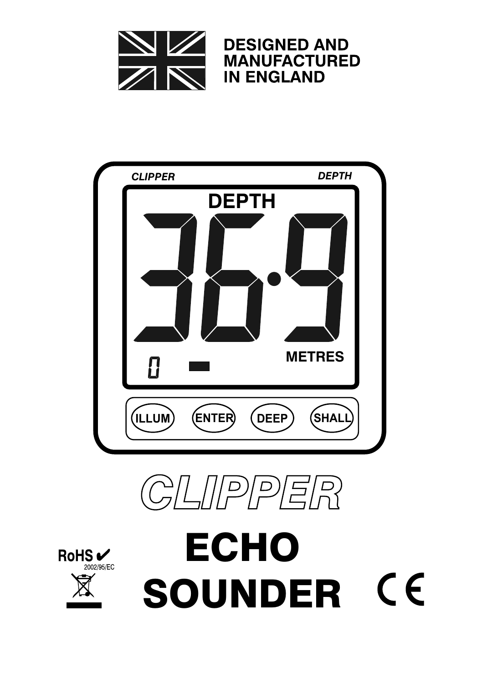







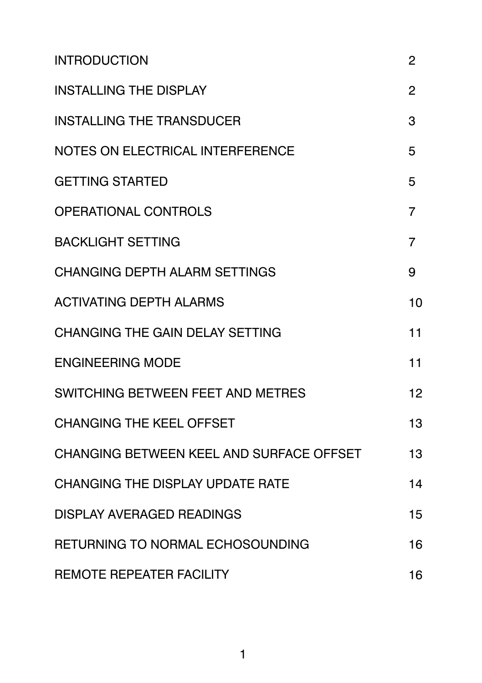| <b>INTRODUCTION</b>                      | $\overline{2}$ |
|------------------------------------------|----------------|
| <b>INSTALLING THE DISPLAY</b>            | 2              |
| <b>INSTALLING THE TRANSDUCER</b>         | 3              |
| NOTES ON ELECTRICAL INTERFERENCE         | 5              |
| <b>GETTING STARTED</b>                   | 5              |
| <b>OPERATIONAL CONTROLS</b>              | $\overline{7}$ |
| <b>BACKLIGHT SETTING</b>                 | 7              |
| <b>CHANGING DEPTH ALARM SETTINGS</b>     | 9              |
| <b>ACTIVATING DEPTH ALARMS</b>           | 10             |
| <b>CHANGING THE GAIN DELAY SETTING</b>   | 11             |
| <b>ENGINEERING MODE</b>                  | 11             |
| SWITCHING BETWEEN FEET AND METRES        | 12             |
| <b>CHANGING THE KEEL OFFSET</b>          | 13             |
| CHANGING BETWEEN KEEL AND SURFACE OFFSET | 13             |
| <b>CHANGING THE DISPLAY UPDATE RATE</b>  | 14             |
| <b>DISPLAY AVERAGED READINGS</b>         | 15             |
| RETURNING TO NORMAL ECHOSOUNDING         | 16             |
| <b>REMOTE REPEATER FACILITY</b>          | 16             |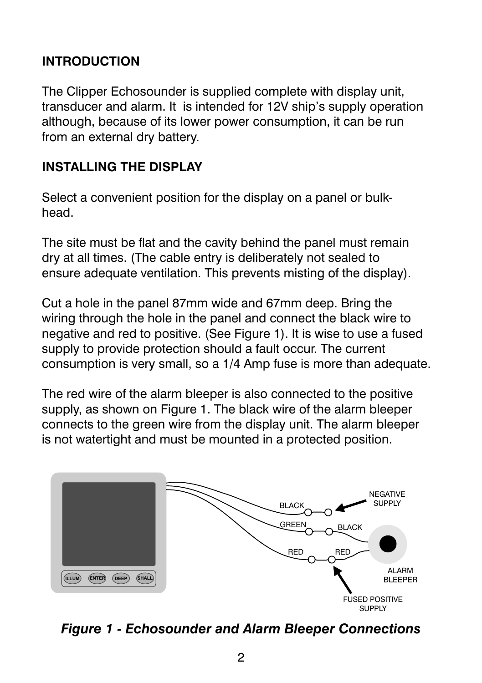## **INTRODUCTION**

The Clipper Echosounder is supplied complete with display unit, transducer and alarm. It is intended for 12V ship's supply operation although, because of its lower power consumption, it can be run from an external dry battery.

### **INSTALLING THE DISPLAY**

Select a convenient position for the display on a panel or bulkhead.

The site must be flat and the cavity behind the panel must remain dry at all times. (The cable entry is deliberately not sealed to ensure adequate ventilation. This prevents misting of the display).

Cut a hole in the panel 87mm wide and 67mm deep. Bring the wiring through the hole in the panel and connect the black wire to negative and red to positive. (See Figure 1). It is wise to use a fused supply to provide protection should a fault occur. The current consumption is very small, so a 1/4 Amp fuse is more than adequate.

The red wire of the alarm bleeper is also connected to the positive supply, as shown on Figure 1. The black wire of the alarm bleeper connects to the green wire from the display unit. The alarm bleeper is not watertight and must be mounted in a protected position.



*Figure 1 - Echosounder and Alarm Bleeper Connections*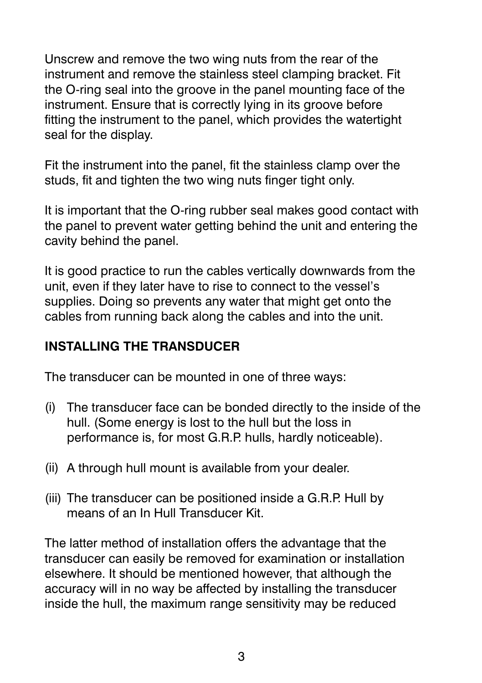Unscrew and remove the two wing nuts from the rear of the instrument and remove the stainless steel clamping bracket. Fit the O-ring seal into the groove in the panel mounting face of the instrument. Ensure that is correctly lying in its groove before fitting the instrument to the panel, which provides the watertight seal for the display.

Fit the instrument into the panel, fit the stainless clamp over the studs, fit and tighten the two wing nuts finger tight only.

It is important that the O-ring rubber seal makes good contact with the panel to prevent water getting behind the unit and entering the cavity behind the panel.

It is good practice to run the cables vertically downwards from the unit, even if they later have to rise to connect to the vessel's supplies. Doing so prevents any water that might get onto the cables from running back along the cables and into the unit.

#### **INSTALLING THE TRANSDUCER**

The transducer can be mounted in one of three ways:

- (i) The transducer face can be bonded directly to the inside of the hull. (Some energy is lost to the hull but the loss in performance is, for most G.R.P. hulls, hardly noticeable).
- (ii) A through hull mount is available from your dealer.
- (iii) The transducer can be positioned inside a G.R.P. Hull by means of an In Hull Transducer Kit.

The latter method of installation offers the advantage that the transducer can easily be removed for examination or installation elsewhere. It should be mentioned however, that although the accuracy will in no way be affected by installing the transducer inside the hull, the maximum range sensitivity may be reduced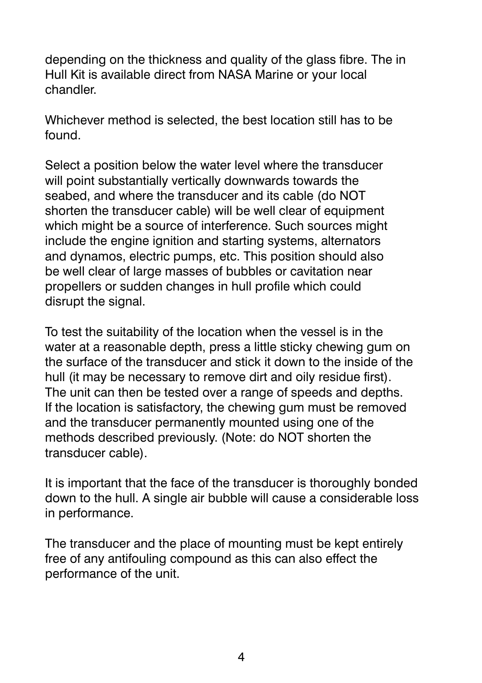depending on the thickness and quality of the glass fibre. The in Hull Kit is available direct from NASA Marine or your local chandler.

Whichever method is selected, the best location still has to be found.

Select a position below the water level where the transducer will point substantially vertically downwards towards the seabed, and where the transducer and its cable (do NOT shorten the transducer cable) will be well clear of equipment which might be a source of interference. Such sources might include the engine ignition and starting systems, alternators and dynamos, electric pumps, etc. This position should also be well clear of large masses of bubbles or cavitation near propellers or sudden changes in hull profile which could disrupt the signal.

To test the suitability of the location when the vessel is in the water at a reasonable depth, press a little sticky chewing gum on the surface of the transducer and stick it down to the inside of the hull (it may be necessary to remove dirt and oily residue first). The unit can then be tested over a range of speeds and depths. If the location is satisfactory, the chewing gum must be removed and the transducer permanently mounted using one of the methods described previously. (Note: do NOT shorten the transducer cable).

It is important that the face of the transducer is thoroughly bonded down to the hull. A single air bubble will cause a considerable loss in performance.

The transducer and the place of mounting must be kept entirely free of any antifouling compound as this can also effect the performance of the unit.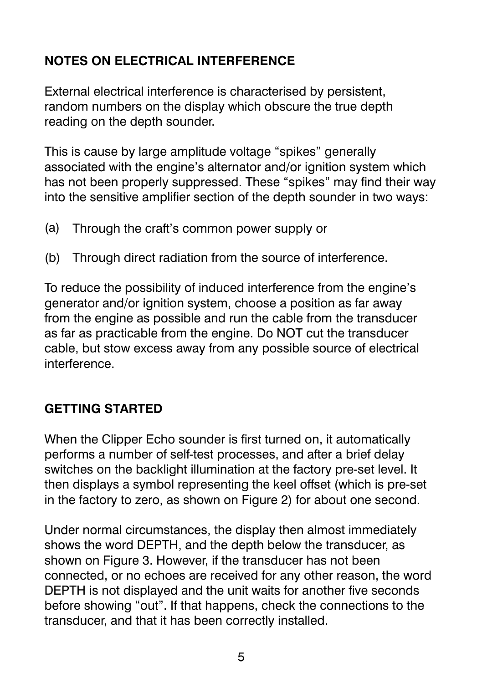## **NOTES ON ELECTRICAL INTERFERENCE**

External electrical interference is characterised by persistent, random numbers on the display which obscure the true depth reading on the depth sounder.

This is cause by large amplitude voltage "spikes" generally associated with the engine's alternator and/or ignition system which has not been properly suppressed. These "spikes" may find their way into the sensitive amplifier section of the depth sounder in two ways:

- (a) Through the craft's common power supply or
- (b) Through direct radiation from the source of interference.

To reduce the possibility of induced interference from the engine's generator and/or ignition system, choose a position as far away from the engine as possible and run the cable from the transducer as far as practicable from the engine. Do NOT cut the transducer cable, but stow excess away from any possible source of electrical interference.

### **GETTING STARTED**

When the Clipper Echo sounder is first turned on, it automatically performs a number of self-test processes, and after a brief delay switches on the backlight illumination at the factory pre-set level. It then displays a symbol representing the keel offset (which is pre-set in the factory to zero, as shown on Figure 2) for about one second.

Under normal circumstances, the display then almost immediately shows the word DEPTH, and the depth below the transducer, as shown on Figure 3. However, if the transducer has not been connected, or no echoes are received for any other reason, the word DEPTH is not displayed and the unit waits for another five seconds before showing "out". If that happens, check the connections to the transducer, and that it has been correctly installed.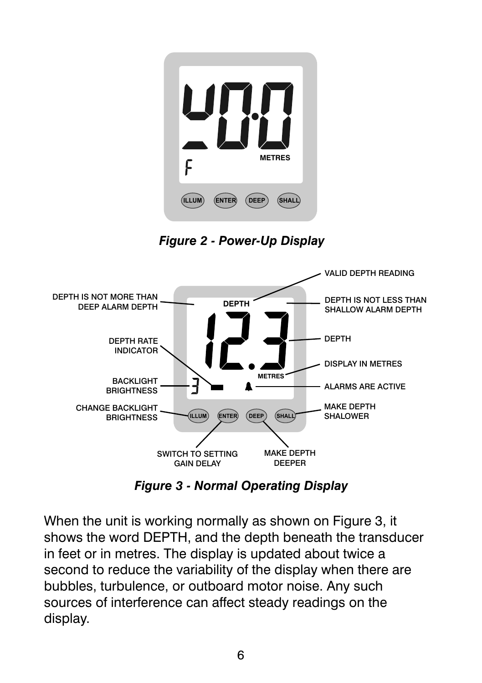

*Figure 2 - Power-Up Display*



*Figure 3 - Normal Operating Display*

When the unit is working normally as shown on Figure 3, it shows the word DEPTH, and the depth beneath the transducer in feet or in metres. The display is updated about twice a second to reduce the variability of the display when there are bubbles, turbulence, or outboard motor noise. Any such sources of interference can affect steady readings on the display.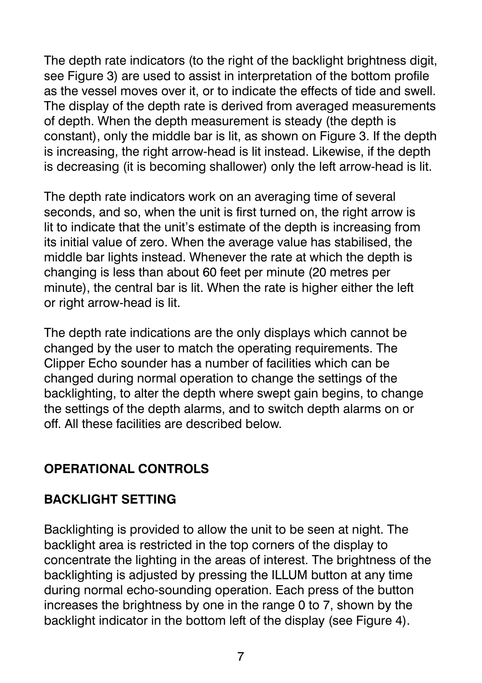The depth rate indicators (to the right of the backlight brightness digit, see Figure 3) are used to assist in interpretation of the bottom profile as the vessel moves over it, or to indicate the effects of tide and swell. The display of the depth rate is derived from averaged measurements of depth. When the depth measurement is steady (the depth is constant), only the middle bar is lit, as shown on Figure 3. If the depth is increasing, the right arrow-head is lit instead. Likewise, if the depth is decreasing (it is becoming shallower) only the left arrow-head is lit.

The depth rate indicators work on an averaging time of several seconds, and so, when the unit is first turned on, the right arrow is lit to indicate that the unit's estimate of the depth is increasing from its initial value of zero. When the average value has stabilised, the middle bar lights instead. Whenever the rate at which the depth is changing is less than about 60 feet per minute (20 metres per minute), the central bar is lit. When the rate is higher either the left or right arrow-head is lit.

The depth rate indications are the only displays which cannot be changed by the user to match the operating requirements. The Clipper Echo sounder has a number of facilities which can be changed during normal operation to change the settings of the backlighting, to alter the depth where swept gain begins, to change the settings of the depth alarms, and to switch depth alarms on or off. All these facilities are described below.

### **OPERATIONAL CONTROLS**

#### **BACKLIGHT SETTING**

Backlighting is provided to allow the unit to be seen at night. The backlight area is restricted in the top corners of the display to concentrate the lighting in the areas of interest. The brightness of the backlighting is adjusted by pressing the ILLUM button at any time during normal echo-sounding operation. Each press of the button increases the brightness by one in the range 0 to 7, shown by the backlight indicator in the bottom left of the display (see Figure 4).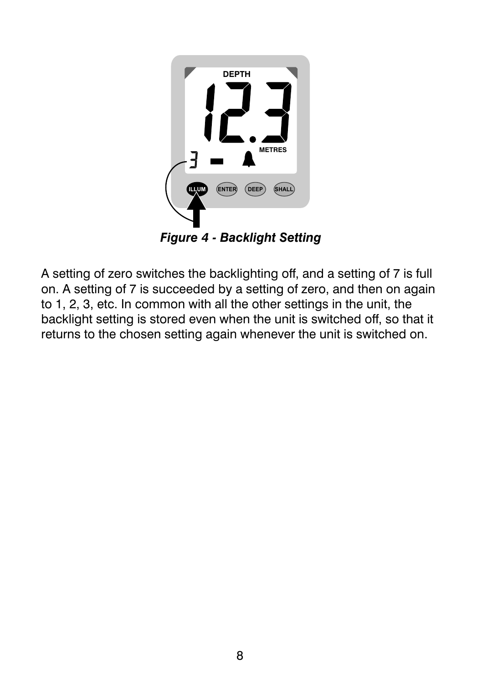

*Figure 4 - Backlight Setting*

A setting of zero switches the backlighting off, and a setting of 7 is full on. A setting of 7 is succeeded by a setting of zero, and then on again to 1, 2, 3, etc. In common with all the other settings in the unit, the backlight setting is stored even when the unit is switched off, so that it returns to the chosen setting again whenever the unit is switched on.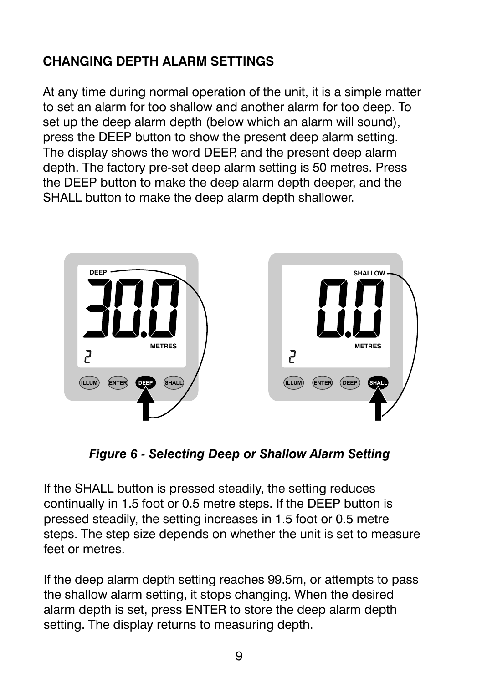# **CHANGING DEPTH ALARM SETTINGS**

At any time during normal operation of the unit, it is a simple matter to set an alarm for too shallow and another alarm for too deep. To set up the deep alarm depth (below which an alarm will sound), press the DEEP button to show the present deep alarm setting. The display shows the word DEEP, and the present deep alarm depth. The factory pre-set deep alarm setting is 50 metres. Press the DEEP button to make the deep alarm depth deeper, and the SHALL button to make the deep alarm depth shallower.



*Figure 6 - Selecting Deep or Shallow Alarm Setting*

If the SHALL button is pressed steadily, the setting reduces continually in 1.5 foot or 0.5 metre steps. If the DEEP button is pressed steadily, the setting increases in 1.5 foot or 0.5 metre steps. The step size depends on whether the unit is set to measure feet or metres.

If the deep alarm depth setting reaches 99.5m, or attempts to pass the shallow alarm setting, it stops changing. When the desired alarm depth is set, press ENTER to store the deep alarm depth setting. The display returns to measuring depth.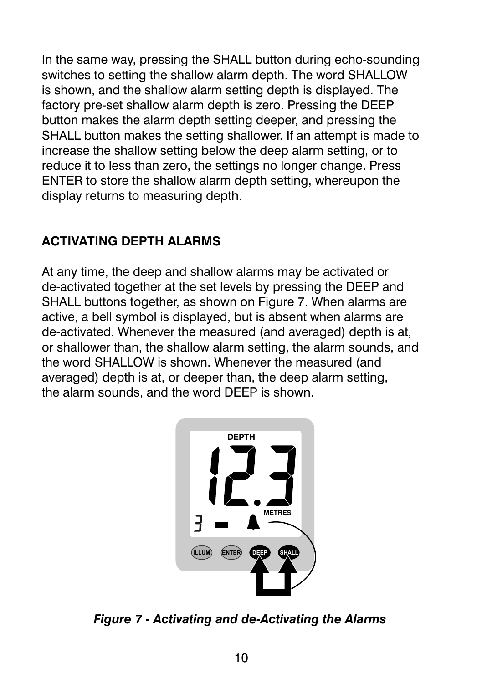In the same way, pressing the SHALL button during echo-sounding switches to setting the shallow alarm depth. The word SHALLOW is shown, and the shallow alarm setting depth is displayed. The factory pre-set shallow alarm depth is zero. Pressing the DEEP button makes the alarm depth setting deeper, and pressing the SHALL button makes the setting shallower. If an attempt is made to increase the shallow setting below the deep alarm setting, or to reduce it to less than zero, the settings no longer change. Press ENTER to store the shallow alarm depth setting, whereupon the display returns to measuring depth.

### **ACTIVATING DEPTH ALARMS**

At any time, the deep and shallow alarms may be activated or de-activated together at the set levels by pressing the DEEP and SHALL buttons together, as shown on Figure 7. When alarms are active, a bell symbol is displayed, but is absent when alarms are de-activated. Whenever the measured (and averaged) depth is at, or shallower than, the shallow alarm setting, the alarm sounds, and the word SHALLOW is shown. Whenever the measured (and averaged) depth is at, or deeper than, the deep alarm setting, the alarm sounds, and the word DEEP is shown.



*Figure 7 - Activating and de-Activating the Alarms*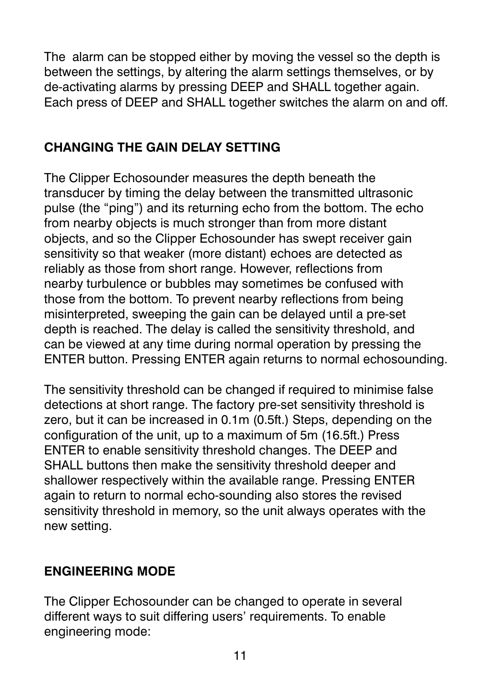The alarm can be stopped either by moving the vessel so the depth is between the settings, by altering the alarm settings themselves, or by de-activating alarms by pressing DEEP and SHALL together again. Each press of DEEP and SHALL together switches the alarm on and off.

## **CHANGING THE GAIN DELAY SETTING**

The Clipper Echosounder measures the depth beneath the transducer by timing the delay between the transmitted ultrasonic pulse (the "ping") and its returning echo from the bottom. The echo from nearby objects is much stronger than from more distant objects, and so the Clipper Echosounder has swept receiver gain sensitivity so that weaker (more distant) echoes are detected as reliably as those from short range. However, reflections from nearby turbulence or bubbles may sometimes be confused with those from the bottom. To prevent nearby reflections from being misinterpreted, sweeping the gain can be delayed until a pre-set depth is reached. The delay is called the sensitivity threshold, and can be viewed at any time during normal operation by pressing the ENTER button. Pressing ENTER again returns to normal echosounding.

The sensitivity threshold can be changed if required to minimise false detections at short range. The factory pre-set sensitivity threshold is zero, but it can be increased in 0.1m (0.5ft.) Steps, depending on the configuration of the unit, up to a maximum of 5m (16.5ft.) Press ENTER to enable sensitivity threshold changes. The DEEP and SHALL buttons then make the sensitivity threshold deeper and shallower respectively within the available range. Pressing ENTER again to return to normal echo-sounding also stores the revised sensitivity threshold in memory, so the unit always operates with the new setting.

### **ENGINEERING MODE**

The Clipper Echosounder can be changed to operate in several different ways to suit differing users' requirements. To enable engineering mode: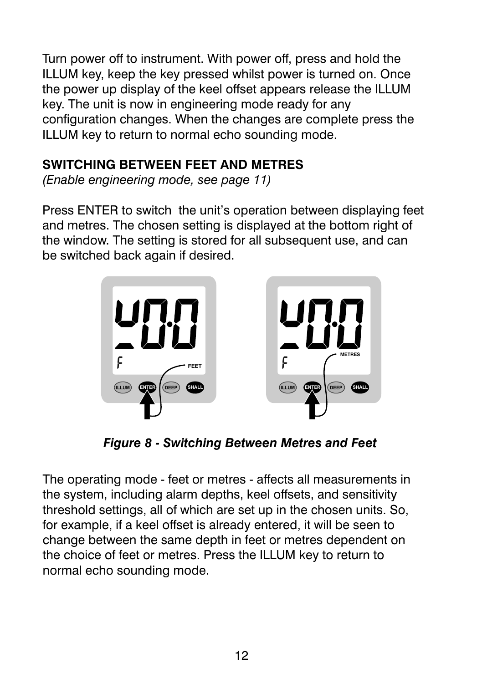Turn power off to instrument. With power off, press and hold the ILLUM key, keep the key pressed whilst power is turned on. Once the power up display of the keel offset appears release the ILLUM key. The unit is now in engineering mode ready for any configuration changes. When the changes are complete press the ILLUM key to return to normal echo sounding mode.

## **SWITCHING BETWEEN FEET AND METRES**

*(Enable engineering mode, see page 11)*

Press ENTER to switch the unit's operation between displaying feet and metres. The chosen setting is displayed at the bottom right of the window. The setting is stored for all subsequent use, and can be switched back again if desired.



*Figure 8 - Switching Between Metres and Feet*

The operating mode - feet or metres - affects all measurements in the system, including alarm depths, keel offsets, and sensitivity threshold settings, all of which are set up in the chosen units. So, for example, if a keel offset is already entered, it will be seen to change between the same depth in feet or metres dependent on the choice of feet or metres. Press the ILLUM key to return to normal echo sounding mode.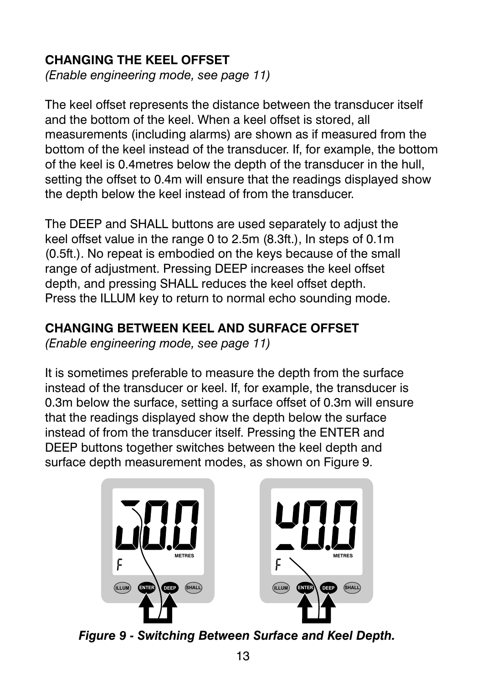## **CHANGING THE KEEL OFFSET**

*(Enable engineering mode, see page 11)*

The keel offset represents the distance between the transducer itself and the bottom of the keel. When a keel offset is stored, all measurements (including alarms) are shown as if measured from the bottom of the keel instead of the transducer. If, for example, the bottom of the keel is 0.4metres below the depth of the transducer in the hull, setting the offset to 0.4m will ensure that the readings displayed show the depth below the keel instead of from the transducer.

The DEEP and SHALL buttons are used separately to adjust the keel offset value in the range 0 to 2.5m (8.3ft.), In steps of 0.1m (0.5ft.). No repeat is embodied on the keys because of the small range of adjustment. Pressing DEEP increases the keel offset depth, and pressing SHALL reduces the keel offset depth. Press the ILLUM key to return to normal echo sounding mode.

#### **CHANGING BETWEEN KEEL AND SURFACE OFFSET**

*(Enable engineering mode, see page 11)*

It is sometimes preferable to measure the depth from the surface instead of the transducer or keel. If, for example, the transducer is 0.3m below the surface, setting a surface offset of 0.3m will ensure that the readings displayed show the depth below the surface instead of from the transducer itself. Pressing the ENTER and DEEP buttons together switches between the keel depth and surface depth measurement modes, as shown on Figure 9.



*Figure 9 - Switching Between Surface and Keel Depth.*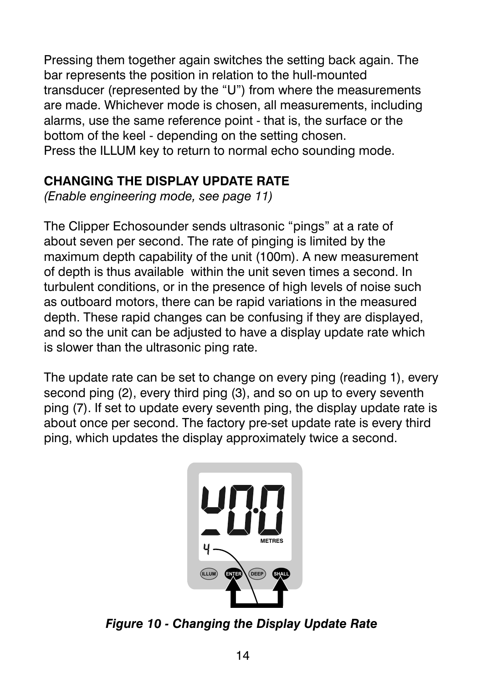Pressing them together again switches the setting back again. The bar represents the position in relation to the hull-mounted transducer (represented by the "U") from where the measurements are made. Whichever mode is chosen, all measurements, including alarms, use the same reference point - that is, the surface or the bottom of the keel - depending on the setting chosen. Press the ILLUM key to return to normal echo sounding mode.

# **CHANGING THE DISPLAY UPDATE RATE**

*(Enable engineering mode, see page 11)*

The Clipper Echosounder sends ultrasonic "pings" at a rate of about seven per second. The rate of pinging is limited by the maximum depth capability of the unit (100m). A new measurement of depth is thus available within the unit seven times a second. In turbulent conditions, or in the presence of high levels of noise such as outboard motors, there can be rapid variations in the measured depth. These rapid changes can be confusing if they are displayed, and so the unit can be adjusted to have a display update rate which is slower than the ultrasonic ping rate.

The update rate can be set to change on every ping (reading 1), every second ping (2), every third ping (3), and so on up to every seventh ping (7). If set to update every seventh ping, the display update rate is about once per second. The factory pre-set update rate is every third ping, which updates the display approximately twice a second.



*Figure 10 - Changing the Display Update Rate*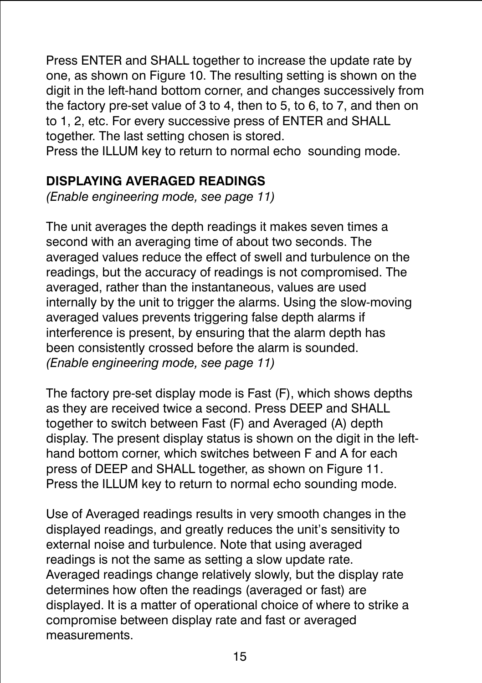Press ENTER and SHALL together to increase the update rate by one, as shown on Figure 10. The resulting setting is shown on the digit in the left-hand bottom corner, and changes successively from the factory pre-set value of 3 to 4, then to 5, to 6, to 7, and then on to 1, 2, etc. For every successive press of ENTER and SHALL together. The last setting chosen is stored.

Press the ILLUM key to return to normal echo sounding mode.

## **DISPLAYING AVERAGED READINGS**

*(Enable engineering mode, see page 11)*

The unit averages the depth readings it makes seven times a second with an averaging time of about two seconds. The averaged values reduce the effect of swell and turbulence on the readings, but the accuracy of readings is not compromised. The averaged, rather than the instantaneous, values are used internally by the unit to trigger the alarms. Using the slow-moving averaged values prevents triggering false depth alarms if interference is present, by ensuring that the alarm depth has been consistently crossed before the alarm is sounded. *(Enable engineering mode, see page 11)*

The factory pre-set display mode is Fast (F), which shows depths as they are received twice a second. Press DEEP and SHALL together to switch between Fast (F) and Averaged (A) depth display. The present display status is shown on the digit in the lefthand bottom corner, which switches between F and A for each press of DEEP and SHALL together, as shown on Figure 11. Press the ILLUM key to return to normal echo sounding mode.

Use of Averaged readings results in very smooth changes in the displayed readings, and greatly reduces the unit's sensitivity to external noise and turbulence. Note that using averaged readings is not the same as setting a slow update rate. Averaged readings change relatively slowly, but the display rate determines how often the readings (averaged or fast) are displayed. It is a matter of operational choice of where to strike a compromise between display rate and fast or averaged measurements.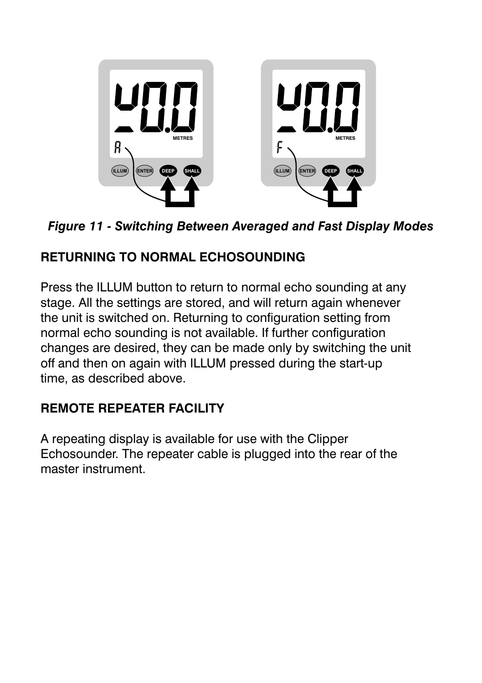

*Figure 11 - Switching Between Averaged and Fast Display Modes*

# **RETURNING TO NORMAL ECHOSOUNDING**

Press the ILLUM button to return to normal echo sounding at any stage. All the settings are stored, and will return again whenever the unit is switched on. Returning to configuration setting from normal echo sounding is not available. If further configuration changes are desired, they can be made only by switching the unit off and then on again with ILLUM pressed during the start-up time, as described above.

# **REMOTE REPEATER FACILITY**

A repeating display is available for use with the Clipper Echosounder. The repeater cable is plugged into the rear of the master instrument.